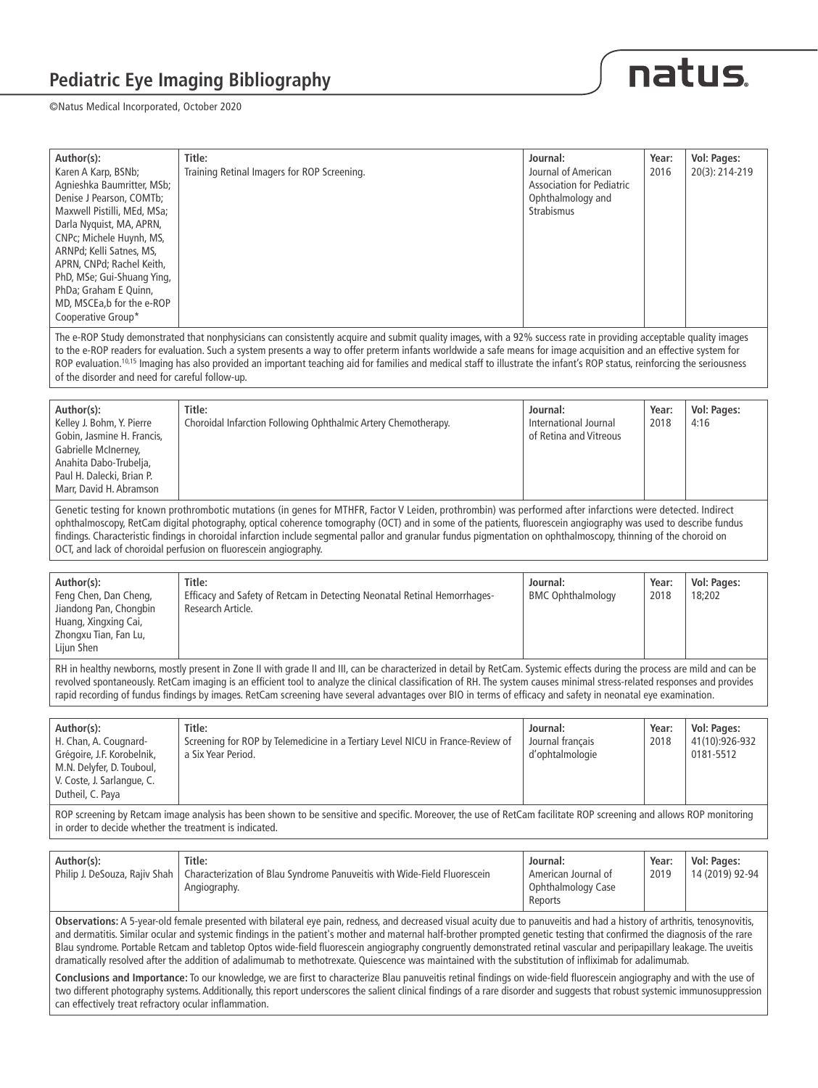



| Author(s):<br>Karen A Karp, BSNb;<br>Agnieshka Baumritter, MSb;<br>Denise J Pearson, COMTb;<br>Maxwell Pistilli, MEd, MSa;<br>Darla Nyquist, MA, APRN,<br>CNPc; Michele Huynh, MS,<br>ARNPd; Kelli Satnes, MS,<br>APRN, CNPd; Rachel Keith,<br>PhD, MSe; Gui-Shuang Ying,<br>PhDa; Graham E Quinn,<br>MD, MSCEa, b for the e-ROP<br>Cooperative Group*                                                                                                                                                                                                                   | Title:<br>Training Retinal Imagers for ROP Screening.                                                                                                                                                                                                                                                                                                                                                                                                                                                                                                                                                                                                                                                                                                                                                                                                                                                                                                                                                                                              | Journal:<br>Journal of American<br><b>Association for Pediatric</b><br>Ophthalmology and<br>Strabismus | Year:<br>2016 | Vol: Pages:<br>20(3): 214-219              |  |
|--------------------------------------------------------------------------------------------------------------------------------------------------------------------------------------------------------------------------------------------------------------------------------------------------------------------------------------------------------------------------------------------------------------------------------------------------------------------------------------------------------------------------------------------------------------------------|----------------------------------------------------------------------------------------------------------------------------------------------------------------------------------------------------------------------------------------------------------------------------------------------------------------------------------------------------------------------------------------------------------------------------------------------------------------------------------------------------------------------------------------------------------------------------------------------------------------------------------------------------------------------------------------------------------------------------------------------------------------------------------------------------------------------------------------------------------------------------------------------------------------------------------------------------------------------------------------------------------------------------------------------------|--------------------------------------------------------------------------------------------------------|---------------|--------------------------------------------|--|
| of the disorder and need for careful follow-up.                                                                                                                                                                                                                                                                                                                                                                                                                                                                                                                          | The e-ROP Study demonstrated that nonphysicians can consistently acquire and submit quality images, with a 92% success rate in providing acceptable quality images<br>to the e-ROP readers for evaluation. Such a system presents a way to offer preterm infants worldwide a safe means for image acquisition and an effective system for<br>ROP evaluation. <sup>10,15</sup> Imaging has also provided an important teaching aid for families and medical staff to illustrate the infant's ROP status, reinforcing the seriousness                                                                                                                                                                                                                                                                                                                                                                                                                                                                                                                |                                                                                                        |               |                                            |  |
| Author(s):<br>Kelley J. Bohm, Y. Pierre<br>Gobin, Jasmine H. Francis,<br>Gabrielle McInerney,<br>Anahita Dabo-Trubelja,<br>Paul H. Dalecki, Brian P.<br>Marr, David H. Abramson                                                                                                                                                                                                                                                                                                                                                                                          | Title:<br>Choroidal Infarction Following Ophthalmic Artery Chemotherapy.                                                                                                                                                                                                                                                                                                                                                                                                                                                                                                                                                                                                                                                                                                                                                                                                                                                                                                                                                                           | Journal:<br>International Journal<br>of Retina and Vitreous                                            | Year:<br>2018 | Vol: Pages:<br>4:16                        |  |
| Genetic testing for known prothrombotic mutations (in genes for MTHFR, Factor V Leiden, prothrombin) was performed after infarctions were detected. Indirect<br>ophthalmoscopy, RetCam digital photography, optical coherence tomography (OCT) and in some of the patients, fluorescein angiography was used to describe fundus<br>findings. Characteristic findings in choroidal infarction include segmental pallor and granular fundus pigmentation on ophthalmoscopy, thinning of the choroid on<br>OCT, and lack of choroidal perfusion on fluorescein angiography. |                                                                                                                                                                                                                                                                                                                                                                                                                                                                                                                                                                                                                                                                                                                                                                                                                                                                                                                                                                                                                                                    |                                                                                                        |               |                                            |  |
| Author(s):<br>Feng Chen, Dan Cheng,<br>Jiandong Pan, Chongbin<br>Huang, Xingxing Cai,<br>Zhongxu Tian, Fan Lu,<br>Lijun Shen                                                                                                                                                                                                                                                                                                                                                                                                                                             | Title:<br>Efficacy and Safety of Retcam in Detecting Neonatal Retinal Hemorrhages-<br>Research Article.                                                                                                                                                                                                                                                                                                                                                                                                                                                                                                                                                                                                                                                                                                                                                                                                                                                                                                                                            | Journal:<br><b>BMC Ophthalmology</b>                                                                   | Year:<br>2018 | Vol: Pages:<br>18;202                      |  |
| RH in healthy newborns, mostly present in Zone II with grade II and III, can be characterized in detail by RetCam. Systemic effects during the process are mild and can be<br>revolved spontaneously. RetCam imaging is an efficient tool to analyze the clinical classification of RH. The system causes minimal stress-related responses and provides<br>rapid recording of fundus findings by images. RetCam screening have several advantages over BIO in terms of efficacy and safety in neonatal eye examination.                                                  |                                                                                                                                                                                                                                                                                                                                                                                                                                                                                                                                                                                                                                                                                                                                                                                                                                                                                                                                                                                                                                                    |                                                                                                        |               |                                            |  |
| Author(s):<br>H. Chan, A. Cougnard-<br>Grégoire, J.F. Korobelnik,<br>M.N. Delyfer, D. Touboul,<br>V. Coste, J. Sarlangue, C.<br>Dutheil, C. Paya                                                                                                                                                                                                                                                                                                                                                                                                                         | Title:<br>Screening for ROP by Telemedicine in a Tertiary Level NICU in France-Review of<br>a Six Year Period.                                                                                                                                                                                                                                                                                                                                                                                                                                                                                                                                                                                                                                                                                                                                                                                                                                                                                                                                     | Journal:<br>Journal français<br>d'ophtalmologie                                                        | Year:<br>2018 | Vol: Pages:<br>41(10):926-932<br>0181-5512 |  |
| ROP screening by Retcam image analysis has been shown to be sensitive and specific. Moreover, the use of RetCam facilitate ROP screening and allows ROP monitoring<br>in order to decide whether the treatment is indicated.                                                                                                                                                                                                                                                                                                                                             |                                                                                                                                                                                                                                                                                                                                                                                                                                                                                                                                                                                                                                                                                                                                                                                                                                                                                                                                                                                                                                                    |                                                                                                        |               |                                            |  |
| Author(s):<br>Philip J. DeSouza, Rajiv Shah                                                                                                                                                                                                                                                                                                                                                                                                                                                                                                                              | Title:<br>Characterization of Blau Syndrome Panuveitis with Wide-Field Fluorescein<br>Angiography.                                                                                                                                                                                                                                                                                                                                                                                                                                                                                                                                                                                                                                                                                                                                                                                                                                                                                                                                                 | Journal:<br>American Journal of<br>Ophthalmology Case<br>Reports                                       | Year:<br>2019 | <b>Vol: Pages:</b><br>14 (2019) 92-94      |  |
| can effectively treat refractory ocular inflammation.                                                                                                                                                                                                                                                                                                                                                                                                                                                                                                                    | Observations: A 5-year-old female presented with bilateral eye pain, redness, and decreased visual acuity due to panuveitis and had a history of arthritis, tenosynovitis,<br>and dermatitis. Similar ocular and systemic findings in the patient's mother and maternal half-brother prompted genetic testing that confirmed the diagnosis of the rare<br>Blau syndrome. Portable Retcam and tabletop Optos wide-field fluorescein angiography congruently demonstrated retinal vascular and peripapillary leakage. The uveitis<br>dramatically resolved after the addition of adalimumab to methotrexate. Quiescence was maintained with the substitution of infliximab for adalimumab.<br>Conclusions and Importance: To our knowledge, we are first to characterize Blau panuveitis retinal findings on wide-field fluorescein angiography and with the use of<br>two different photography systems. Additionally, this report underscores the salient clinical findings of a rare disorder and suggests that robust systemic immunosuppression |                                                                                                        |               |                                            |  |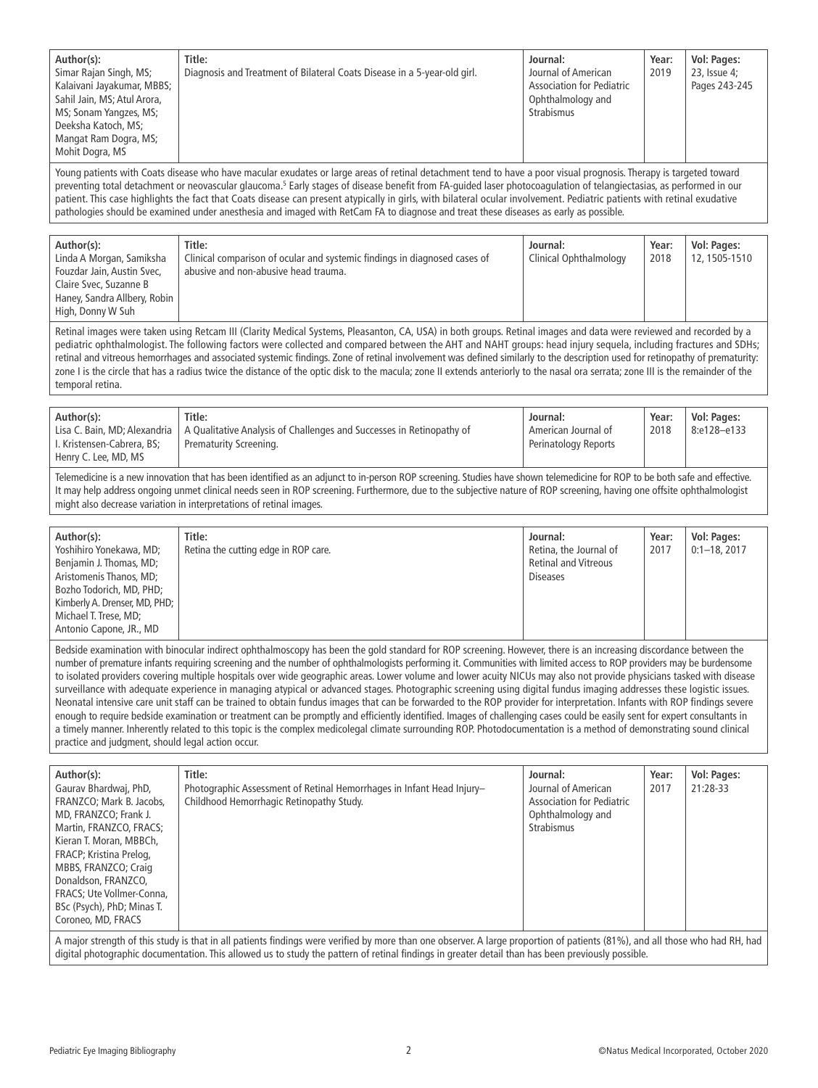| Author(s):<br>Simar Rajan Singh, MS;<br>Kalaivani Jayakumar, MBBS;<br>Sahil Jain, MS; Atul Arora,<br>MS; Sonam Yangzes, MS;<br>Deeksha Katoch, MS;<br>Mangat Ram Dogra, MS;<br>Mohit Dogra, MS                                                                                                                                                                                                                                                                                                                                                                                                                                                                                                                                                                                                                                                                                                                                                                                                                                                                                                                                                                                                                                                                                 | Title:<br>Diagnosis and Treatment of Bilateral Coats Disease in a 5-year-old girl.                                                                                                                                                                                                                                                                                                                                                                               | Journal:<br>Journal of American<br><b>Association for Pediatric</b><br>Ophthalmology and<br><b>Strabismus</b> | Year:<br>2019 | Vol: Pages:<br>23, Issue 4;<br>Pages 243-245 |
|--------------------------------------------------------------------------------------------------------------------------------------------------------------------------------------------------------------------------------------------------------------------------------------------------------------------------------------------------------------------------------------------------------------------------------------------------------------------------------------------------------------------------------------------------------------------------------------------------------------------------------------------------------------------------------------------------------------------------------------------------------------------------------------------------------------------------------------------------------------------------------------------------------------------------------------------------------------------------------------------------------------------------------------------------------------------------------------------------------------------------------------------------------------------------------------------------------------------------------------------------------------------------------|------------------------------------------------------------------------------------------------------------------------------------------------------------------------------------------------------------------------------------------------------------------------------------------------------------------------------------------------------------------------------------------------------------------------------------------------------------------|---------------------------------------------------------------------------------------------------------------|---------------|----------------------------------------------|
| Young patients with Coats disease who have macular exudates or large areas of retinal detachment tend to have a poor visual prognosis. Therapy is targeted toward<br>preventing total detachment or neovascular glaucoma. <sup>5</sup> Early stages of disease benefit from FA-guided laser photocoagulation of telangiectasias, as performed in our<br>patient. This case highlights the fact that Coats disease can present atypically in girls, with bilateral ocular involvement. Pediatric patients with retinal exudative<br>pathologies should be examined under anesthesia and imaged with RetCam FA to diagnose and treat these diseases as early as possible.                                                                                                                                                                                                                                                                                                                                                                                                                                                                                                                                                                                                        |                                                                                                                                                                                                                                                                                                                                                                                                                                                                  |                                                                                                               |               |                                              |
| Author(s):<br>Linda A Morgan, Samiksha<br>Fouzdar Jain, Austin Svec,<br>Claire Svec, Suzanne B<br>Haney, Sandra Allbery, Robin<br>High, Donny W Suh                                                                                                                                                                                                                                                                                                                                                                                                                                                                                                                                                                                                                                                                                                                                                                                                                                                                                                                                                                                                                                                                                                                            | Title:<br>Clinical comparison of ocular and systemic findings in diagnosed cases of<br>abusive and non-abusive head trauma.                                                                                                                                                                                                                                                                                                                                      | Journal:<br>Clinical Ophthalmology                                                                            | Year:<br>2018 | Vol: Pages:<br>12, 1505-1510                 |
| Retinal images were taken using Retcam III (Clarity Medical Systems, Pleasanton, CA, USA) in both groups. Retinal images and data were reviewed and recorded by a<br>pediatric ophthalmologist. The following factors were collected and compared between the AHT and NAHT groups: head injury sequela, including fractures and SDHs;<br>retinal and vitreous hemorrhages and associated systemic findings. Zone of retinal involvement was defined similarly to the description used for retinopathy of prematurity:<br>zone I is the circle that has a radius twice the distance of the optic disk to the macula; zone II extends anteriorly to the nasal ora serrata; zone III is the remainder of the<br>temporal retina.                                                                                                                                                                                                                                                                                                                                                                                                                                                                                                                                                  |                                                                                                                                                                                                                                                                                                                                                                                                                                                                  |                                                                                                               |               |                                              |
| Author(s):<br>Lisa C. Bain, MD; Alexandria<br>I. Kristensen-Cabrera, BS;<br>Henry C. Lee, MD, MS                                                                                                                                                                                                                                                                                                                                                                                                                                                                                                                                                                                                                                                                                                                                                                                                                                                                                                                                                                                                                                                                                                                                                                               | Title:<br>A Qualitative Analysis of Challenges and Successes in Retinopathy of<br>Prematurity Screening.                                                                                                                                                                                                                                                                                                                                                         | Journal:<br>American Journal of<br>Perinatology Reports                                                       | Year:<br>2018 | Vol: Pages:<br>8:e128-e133                   |
| Telemedicine is a new innovation that has been identified as an adjunct to in-person ROP screening. Studies have shown telemedicine for ROP to be both safe and effective.<br>It may help address ongoing unmet clinical needs seen in ROP screening. Furthermore, due to the subjective nature of ROP screening, having one offsite ophthalmologist<br>might also decrease variation in interpretations of retinal images.                                                                                                                                                                                                                                                                                                                                                                                                                                                                                                                                                                                                                                                                                                                                                                                                                                                    |                                                                                                                                                                                                                                                                                                                                                                                                                                                                  |                                                                                                               |               |                                              |
| Author(s):<br>Yoshihiro Yonekawa, MD;<br>Benjamin J. Thomas, MD;<br>Aristomenis Thanos, MD;<br>Bozho Todorich, MD, PHD;<br>Kimberly A. Drenser, MD, PHD;<br>Michael T. Trese, MD;<br>Antonio Capone, JR., MD                                                                                                                                                                                                                                                                                                                                                                                                                                                                                                                                                                                                                                                                                                                                                                                                                                                                                                                                                                                                                                                                   | Title:<br>Retina the cutting edge in ROP care.                                                                                                                                                                                                                                                                                                                                                                                                                   | Journal:<br>Retina, the Journal of<br><b>Retinal and Vitreous</b><br><b>Diseases</b>                          | Year:<br>2017 | Vol: Pages:<br>$0:1-18,2017$                 |
| Bedside examination with binocular indirect ophthalmoscopy has been the gold standard for ROP screening. However, there is an increasing discordance between the<br>number of premature infants requiring screening and the number of ophthalmologists performing it. Communities with limited access to ROP providers may be burdensome<br>to isolated providers covering multiple hospitals over wide geographic areas. Lower volume and lower acuity NICUs may also not provide physicians tasked with disease<br>surveillance with adequate experience in managing atypical or advanced stages. Photographic screening using digital fundus imaging addresses these logistic issues.<br>Neonatal intensive care unit staff can be trained to obtain fundus images that can be forwarded to the ROP provider for interpretation. Infants with ROP findings severe<br>enough to require bedside examination or treatment can be promptly and efficiently identified. Images of challenging cases could be easily sent for expert consultants in<br>a timely manner. Inherently related to this topic is the complex medicolegal climate surrounding ROP. Photodocumentation is a method of demonstrating sound clinical<br>practice and judgment, should legal action occur. |                                                                                                                                                                                                                                                                                                                                                                                                                                                                  |                                                                                                               |               |                                              |
| Author(s):<br>Gaurav Bhardwaj, PhD,<br>FRANZCO; Mark B. Jacobs,<br>MD, FRANZCO; Frank J.<br>Martin, FRANZCO, FRACS;<br>Kieran T. Moran, MBBCh,<br>FRACP; Kristina Prelog,<br>MBBS, FRANZCO; Craig<br>Donaldson, FRANZCO,<br>FRACS; Ute Vollmer-Conna,<br>BSc (Psych), PhD; Minas T.<br>Coroneo, MD, FRACS                                                                                                                                                                                                                                                                                                                                                                                                                                                                                                                                                                                                                                                                                                                                                                                                                                                                                                                                                                      | Title:<br>Photographic Assessment of Retinal Hemorrhages in Infant Head Injury-<br>Childhood Hemorrhagic Retinopathy Study.<br>A major strength of this study is that in all patients findings were verified by more than one observer. A large proportion of patients (81%), and all those who had RH, had<br>digital photographic documentation. This allowed us to study the pattern of retinal findings in greater detail than has been previously possible. | Journal:<br>Journal of American<br><b>Association for Pediatric</b><br>Ophthalmology and<br><b>Strabismus</b> | Year:<br>2017 | Vol: Pages:<br>21:28-33                      |